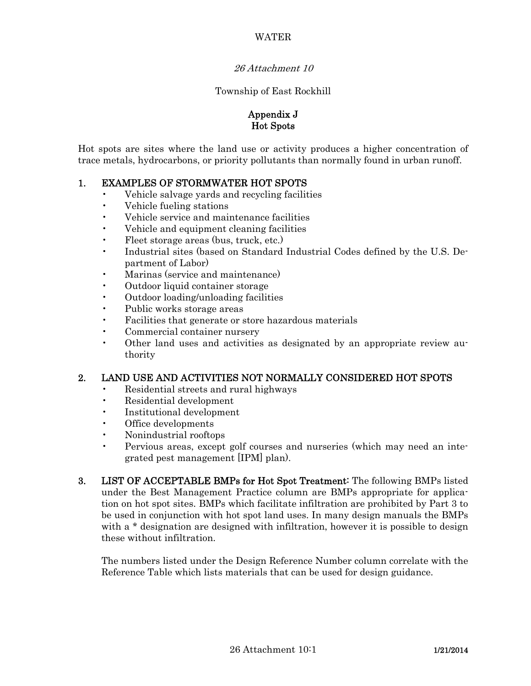### WATER

#### 26 Attachment 10

#### Township of East Rockhill

### Appendix J Hot Spots

Hot spots are sites where the land use or activity produces a higher concentration of trace metals, hydrocarbons, or priority pollutants than normally found in urban runoff.

### 1. EXAMPLES OF STORMWATER HOT SPOTS

- Vehicle salvage yards and recycling facilities
- Vehicle fueling stations
- Vehicle service and maintenance facilities
- Vehicle and equipment cleaning facilities
- Fleet storage areas (bus, truck, etc.)
- Industrial sites (based on Standard Industrial Codes defined by the U.S. Department of Labor)
- Marinas (service and maintenance)
- Outdoor liquid container storage
- Outdoor loading/unloading facilities
- Public works storage areas
- Facilities that generate or store hazardous materials
- Commercial container nursery
- Other land uses and activities as designated by an appropriate review authority

### 2. LAND USE AND ACTIVITIES NOT NORMALLY CONSIDERED HOT SPOTS

- Residential streets and rural highways
- Residential development
- Institutional development
- Office developments
- Nonindustrial rooftops
- Pervious areas, except golf courses and nurseries (which may need an integrated pest management [IPM] plan).
- 3. LIST OF ACCEPTABLE BMPs for Hot Spot Treatment: The following BMPs listed under the Best Management Practice column are BMPs appropriate for application on hot spot sites. BMPs which facilitate infiltration are prohibited by Part 3 to be used in conjunction with hot spot land uses. In many design manuals the BMPs with a \* designation are designed with infiltration, however it is possible to design these without infiltration.

 The numbers listed under the Design Reference Number column correlate with the Reference Table which lists materials that can be used for design guidance.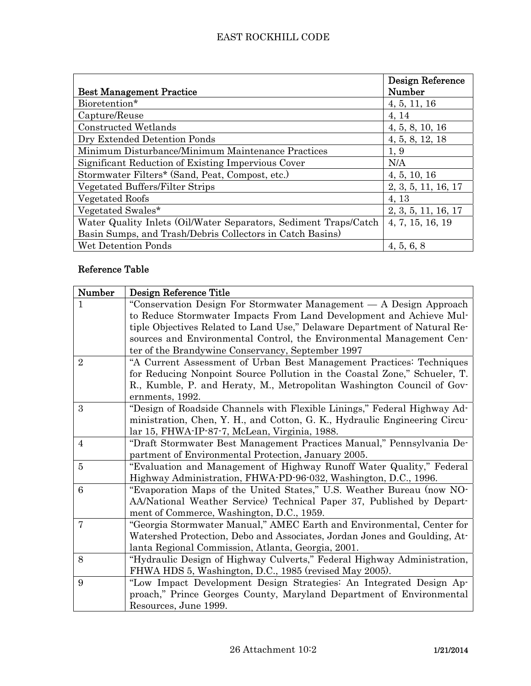|                                                                  | <b>Design Reference</b> |
|------------------------------------------------------------------|-------------------------|
| <b>Best Management Practice</b>                                  | Number                  |
| Bioretention*                                                    | 4, 5, 11, 16            |
| Capture/Reuse                                                    | 4, 14                   |
| Constructed Wetlands                                             | 4, 5, 8, 10, 16         |
| Dry Extended Detention Ponds                                     | 4, 5, 8, 12, 18         |
| Minimum Disturbance/Minimum Maintenance Practices                | 1, 9                    |
| Significant Reduction of Existing Impervious Cover               | N/A                     |
| Stormwater Filters* (Sand, Peat, Compost, etc.)                  | 4, 5, 10, 16            |
| Vegetated Buffers/Filter Strips                                  | 2, 3, 5, 11, 16, 17     |
| Vegetated Roofs                                                  | 4, 13                   |
| Vegetated Swales*                                                | 2, 3, 5, 11, 16, 17     |
| Water Quality Inlets (Oil/Water Separators, Sediment Traps/Catch | 4, 7, 15, 16, 19        |
| Basin Sumps, and Trash/Debris Collectors in Catch Basins)        |                         |
| Wet Detention Ponds                                              | 4, 5, 6, 8              |

# Reference Table

| Number         | Design Reference Title                                                     |
|----------------|----------------------------------------------------------------------------|
| 1              | "Conservation Design For Stormwater Management — A Design Approach         |
|                | to Reduce Stormwater Impacts From Land Development and Achieve Mul-        |
|                | tiple Objectives Related to Land Use," Delaware Department of Natural Re-  |
|                | sources and Environmental Control, the Environmental Management Cen-       |
|                | ter of the Brandywine Conservancy, September 1997                          |
| $\overline{2}$ | "A Current Assessment of Urban Best Management Practices: Techniques       |
|                | for Reducing Nonpoint Source Pollution in the Coastal Zone," Schueler, T.  |
|                | R., Kumble, P. and Heraty, M., Metropolitan Washington Council of Gov-     |
|                | ernments, 1992.                                                            |
| 3              | "Design of Roadside Channels with Flexible Linings," Federal Highway Ad-   |
|                | ministration, Chen, Y. H., and Cotton, G. K., Hydraulic Engineering Circu- |
|                | lar 15, FHWA-IP-87-7, McLean, Virginia, 1988.                              |
| $\overline{4}$ | "Draft Stormwater Best Management Practices Manual," Pennsylvania De-      |
|                | partment of Environmental Protection, January 2005.                        |
| $\overline{5}$ | "Evaluation and Management of Highway Runoff Water Quality," Federal       |
|                | Highway Administration, FHWA-PD-96-032, Washington, D.C., 1996.            |
| 6              | "Evaporation Maps of the United States," U.S. Weather Bureau (now NO-      |
|                | AA/National Weather Service) Technical Paper 37, Published by Depart-      |
|                | ment of Commerce, Washington, D.C., 1959.                                  |
| 7              | "Georgia Stormwater Manual," AMEC Earth and Environmental, Center for      |
|                | Watershed Protection, Debo and Associates, Jordan Jones and Goulding, At-  |
|                | lanta Regional Commission, Atlanta, Georgia, 2001.                         |
| 8              | "Hydraulic Design of Highway Culverts," Federal Highway Administration,    |
|                | FHWA HDS 5, Washington, D.C., 1985 (revised May 2005).                     |
| 9              | "Low Impact Development Design Strategies: An Integrated Design Ap-        |
|                | proach," Prince Georges County, Maryland Department of Environmental       |
|                | Resources, June 1999.                                                      |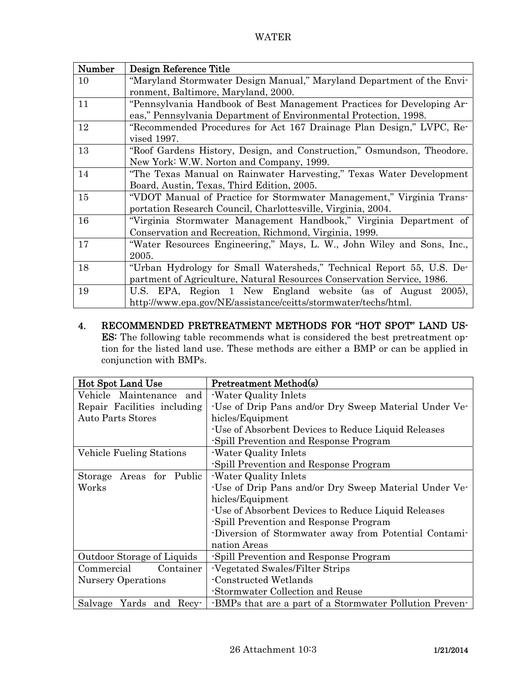| Number | Design Reference Title                                                 |
|--------|------------------------------------------------------------------------|
| 10     | "Maryland Stormwater Design Manual," Maryland Department of the Envi-  |
|        | ronment, Baltimore, Maryland, 2000.                                    |
| 11     | "Pennsylvania Handbook of Best Management Practices for Developing Ar- |
|        | eas," Pennsylvania Department of Environmental Protection, 1998.       |
| 12     | "Recommended Procedures for Act 167 Drainage Plan Design," LVPC, Re-   |
|        | vised 1997.                                                            |
| 13     | "Roof Gardens History, Design, and Construction," Osmundson, Theodore. |
|        | New York: W.W. Norton and Company, 1999.                               |
| 14     | "The Texas Manual on Rainwater Harvesting," Texas Water Development    |
|        | Board, Austin, Texas, Third Edition, 2005.                             |
| 15     | "VDOT Manual of Practice for Stormwater Management," Virginia Trans-   |
|        | portation Research Council, Charlottesville, Virginia, 2004.           |
| 16     | "Virginia Stormwater Management Handbook," Virginia Department of      |
|        | Conservation and Recreation, Richmond, Virginia, 1999.                 |
| 17     | "Water Resources Engineering," Mays, L. W., John Wiley and Sons, Inc., |
|        | 2005.                                                                  |
| 18     | "Urban Hydrology for Small Watersheds," Technical Report 55, U.S. De-  |
|        | partment of Agriculture, Natural Resources Conservation Service, 1986. |
| 19     | U.S. EPA, Region 1 New England website (as of August 2005),            |
|        | http://www.epa.gov/NE/assistance/ceitts/stormwater/techs/html.         |

# 4. RECOMMENDED PRETREATMENT METHODS FOR "HOT SPOT" LAND US-ES: The following table recommends what is considered the best pretreatment option for the listed land use. These methods are either a BMP or can be applied in conjunction with BMPs.

| Hot Spot Land Use           | <b>Pretreatment Method(s)</b>                           |
|-----------------------------|---------------------------------------------------------|
| Vehicle Maintenance<br>and  | -Water Quality Inlets                                   |
| Repair Facilities including | -Use of Drip Pans and/or Dry Sweep Material Under Ve-   |
| <b>Auto Parts Stores</b>    | hicles/Equipment                                        |
|                             | -Use of Absorbent Devices to Reduce Liquid Releases     |
|                             | -Spill Prevention and Response Program                  |
| Vehicle Fueling Stations    | -Water Quality Inlets                                   |
|                             | -Spill Prevention and Response Program                  |
| Areas for Public<br>Storage | -Water Quality Inlets                                   |
| Works                       | -Use of Drip Pans and/or Dry Sweep Material Under Ve-   |
|                             | hicles/Equipment                                        |
|                             | -Use of Absorbent Devices to Reduce Liquid Releases     |
|                             | -Spill Prevention and Response Program                  |
|                             | -Diversion of Stormwater away from Potential Contami-   |
|                             | nation Areas                                            |
| Outdoor Storage of Liquids  | -Spill Prevention and Response Program                  |
| Commercial<br>Container     | -Vegetated Swales/Filter Strips                         |
| Nursery Operations          | Constructed Wetlands                                    |
|                             | -Stormwater Collection and Reuse                        |
| Salvage Yards and Recy-     | -BMPs that are a part of a Stormwater Pollution Preven- |